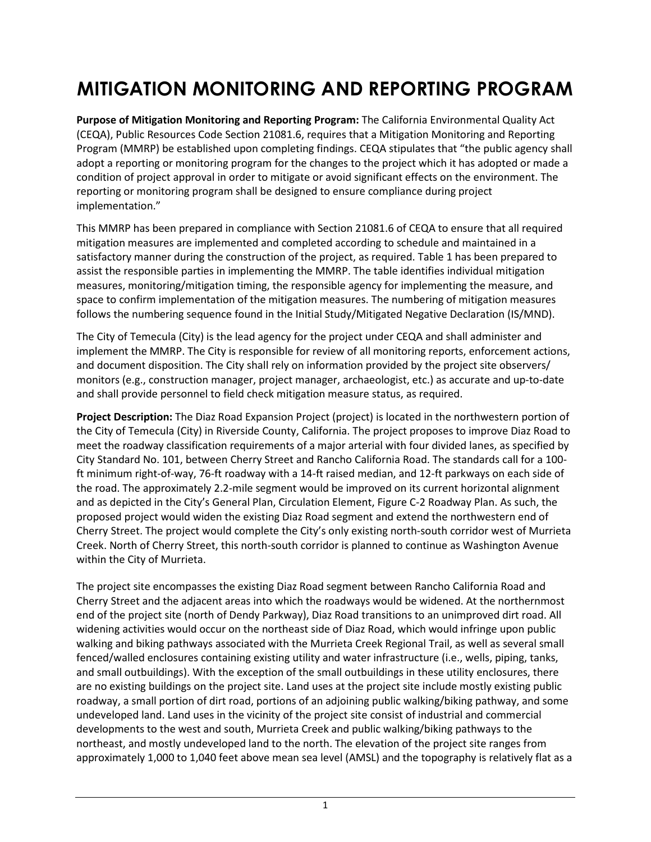## **MITIGATION MONITORING AND REPORTING PROGRAM**

**Purpose of Mitigation Monitoring and Reporting Program:** The California Environmental Quality Act (CEQA), Public Resources Code Section 21081.6, requires that a Mitigation Monitoring and Reporting Program (MMRP) be established upon completing findings. CEQA stipulates that "the public agency shall adopt a reporting or monitoring program for the changes to the project which it has adopted or made a condition of project approval in order to mitigate or avoid significant effects on the environment. The reporting or monitoring program shall be designed to ensure compliance during project implementation."

This MMRP has been prepared in compliance with Section 21081.6 of CEQA to ensure that all required mitigation measures are implemented and completed according to schedule and maintained in a satisfactory manner during the construction of the project, as required. Table 1 has been prepared to assist the responsible parties in implementing the MMRP. The table identifies individual mitigation measures, monitoring/mitigation timing, the responsible agency for implementing the measure, and space to confirm implementation of the mitigation measures. The numbering of mitigation measures follows the numbering sequence found in the Initial Study/Mitigated Negative Declaration (IS/MND).

The City of Temecula (City) is the lead agency for the project under CEQA and shall administer and implement the MMRP. The City is responsible for review of all monitoring reports, enforcement actions, and document disposition. The City shall rely on information provided by the project site observers/ monitors (e.g., construction manager, project manager, archaeologist, etc.) as accurate and up-to-date and shall provide personnel to field check mitigation measure status, as required.

**Project Description:** The Diaz Road Expansion Project (project) is located in the northwestern portion of the City of Temecula (City) in Riverside County, California. The project proposes to improve Diaz Road to meet the roadway classification requirements of a major arterial with four divided lanes, as specified by City Standard No. 101, between Cherry Street and Rancho California Road. The standards call for a 100 ft minimum right-of-way, 76-ft roadway with a 14-ft raised median, and 12-ft parkways on each side of the road. The approximately 2.2-mile segment would be improved on its current horizontal alignment and as depicted in the City's General Plan, Circulation Element, Figure C-2 Roadway Plan. As such, the proposed project would widen the existing Diaz Road segment and extend the northwestern end of Cherry Street. The project would complete the City's only existing north-south corridor west of Murrieta Creek. North of Cherry Street, this north-south corridor is planned to continue as Washington Avenue within the City of Murrieta.

The project site encompasses the existing Diaz Road segment between Rancho California Road and Cherry Street and the adjacent areas into which the roadways would be widened. At the northernmost end of the project site (north of Dendy Parkway), Diaz Road transitions to an unimproved dirt road. All widening activities would occur on the northeast side of Diaz Road, which would infringe upon public walking and biking pathways associated with the Murrieta Creek Regional Trail, as well as several small fenced/walled enclosures containing existing utility and water infrastructure (i.e., wells, piping, tanks, and small outbuildings). With the exception of the small outbuildings in these utility enclosures, there are no existing buildings on the project site. Land uses at the project site include mostly existing public roadway, a small portion of dirt road, portions of an adjoining public walking/biking pathway, and some undeveloped land. Land uses in the vicinity of the project site consist of industrial and commercial developments to the west and south, Murrieta Creek and public walking/biking pathways to the northeast, and mostly undeveloped land to the north. The elevation of the project site ranges from approximately 1,000 to 1,040 feet above mean sea level (AMSL) and the topography is relatively flat as a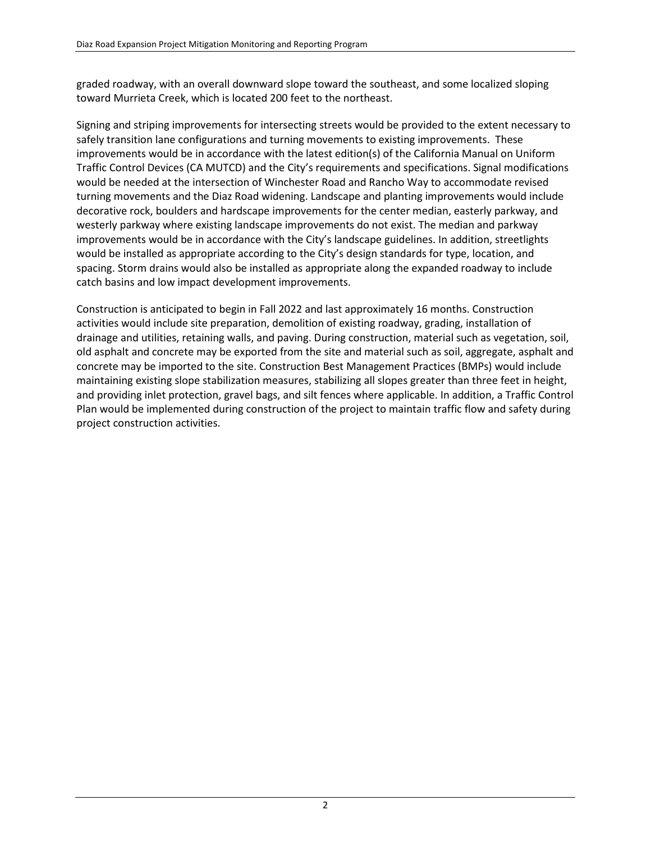graded roadway, with an overall downward slope toward the southeast, and some localized sloping toward Murrieta Creek, which is located 200 feet to the northeast.

Signing and striping improvements for intersecting streets would be provided to the extent necessary to safely transition lane configurations and turning movements to existing improvements. These improvements would be in accordance with the latest edition(s) of the California Manual on Uniform Traffic Control Devices (CA MUTCD) and the City's requirements and specifications. Signal modifications would be needed at the intersection of Winchester Road and Rancho Way to accommodate revised turning movements and the Diaz Road widening. Landscape and planting improvements would include decorative rock, boulders and hardscape improvements for the center median, easterly parkway, and westerly parkway where existing landscape improvements do not exist. The median and parkway improvements would be in accordance with the City's landscape guidelines. In addition, streetlights would be installed as appropriate according to the City's design standards for type, location, and spacing. Storm drains would also be installed as appropriate along the expanded roadway to include catch basins and low impact development improvements.

Construction is anticipated to begin in Fall 2022 and last approximately 16 months. Construction activities would include site preparation, demolition of existing roadway, grading, installation of drainage and utilities, retaining walls, and paving. During construction, material such as vegetation, soil, old asphalt and concrete may be exported from the site and material such as soil, aggregate, asphalt and concrete may be imported to the site. Construction Best Management Practices (BMPs) would include maintaining existing slope stabilization measures, stabilizing all slopes greater than three feet in height, and providing inlet protection, gravel bags, and silt fences where applicable. In addition, a Traffic Control Plan would be implemented during construction of the project to maintain traffic flow and safety during project construction activities.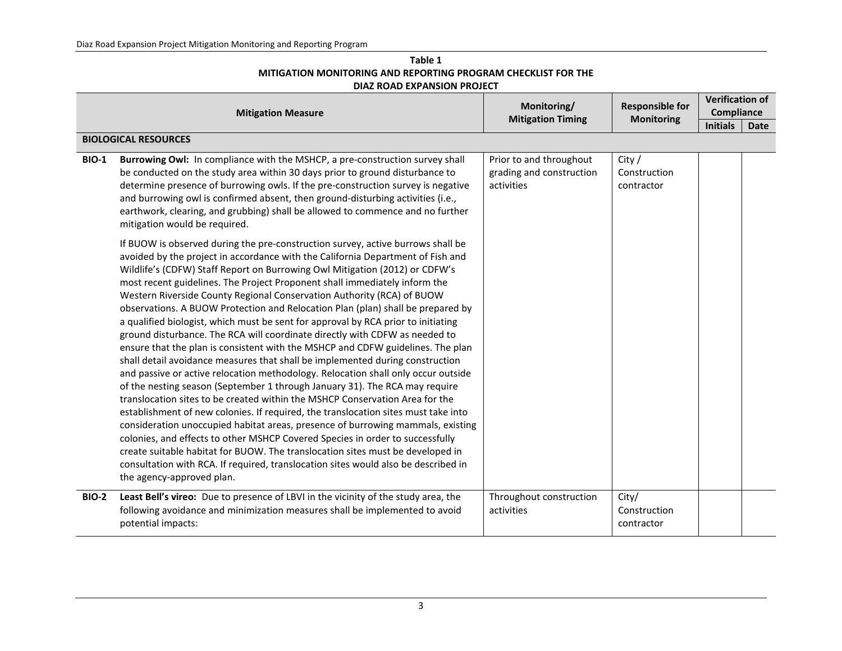| Table 1                                                              |
|----------------------------------------------------------------------|
| <b>MITIGATION MONITORING AND REPORTING PROGRAM CHECKLIST FOR THE</b> |
| DIAZ ROAD EXPANSION PROJECT                                          |

|              | <b>Mitigation Measure</b>                                                                                                                                                                                                                                                                                                                                                                                                                                                                                                                                                                                                                                                                                                                                                                                                                                                                                                                                                                                                                                                                                                                                                                                                                                                                                                                                                                                                                                                                                                                               | Monitoring/<br><b>Responsible for</b>                             |                                      |                 |             |
|--------------|---------------------------------------------------------------------------------------------------------------------------------------------------------------------------------------------------------------------------------------------------------------------------------------------------------------------------------------------------------------------------------------------------------------------------------------------------------------------------------------------------------------------------------------------------------------------------------------------------------------------------------------------------------------------------------------------------------------------------------------------------------------------------------------------------------------------------------------------------------------------------------------------------------------------------------------------------------------------------------------------------------------------------------------------------------------------------------------------------------------------------------------------------------------------------------------------------------------------------------------------------------------------------------------------------------------------------------------------------------------------------------------------------------------------------------------------------------------------------------------------------------------------------------------------------------|-------------------------------------------------------------------|--------------------------------------|-----------------|-------------|
|              |                                                                                                                                                                                                                                                                                                                                                                                                                                                                                                                                                                                                                                                                                                                                                                                                                                                                                                                                                                                                                                                                                                                                                                                                                                                                                                                                                                                                                                                                                                                                                         | <b>Mitigation Timing</b>                                          | <b>Monitoring</b>                    | <b>Initials</b> | <b>Date</b> |
|              | <b>BIOLOGICAL RESOURCES</b>                                                                                                                                                                                                                                                                                                                                                                                                                                                                                                                                                                                                                                                                                                                                                                                                                                                                                                                                                                                                                                                                                                                                                                                                                                                                                                                                                                                                                                                                                                                             |                                                                   |                                      |                 |             |
| <b>BIO-1</b> | Burrowing Owl: In compliance with the MSHCP, a pre-construction survey shall<br>be conducted on the study area within 30 days prior to ground disturbance to<br>determine presence of burrowing owls. If the pre-construction survey is negative<br>and burrowing owl is confirmed absent, then ground-disturbing activities (i.e.,<br>earthwork, clearing, and grubbing) shall be allowed to commence and no further<br>mitigation would be required.                                                                                                                                                                                                                                                                                                                                                                                                                                                                                                                                                                                                                                                                                                                                                                                                                                                                                                                                                                                                                                                                                                  | Prior to and throughout<br>grading and construction<br>activities | City /<br>Construction<br>contractor |                 |             |
|              | If BUOW is observed during the pre-construction survey, active burrows shall be<br>avoided by the project in accordance with the California Department of Fish and<br>Wildlife's (CDFW) Staff Report on Burrowing Owl Mitigation (2012) or CDFW's<br>most recent guidelines. The Project Proponent shall immediately inform the<br>Western Riverside County Regional Conservation Authority (RCA) of BUOW<br>observations. A BUOW Protection and Relocation Plan (plan) shall be prepared by<br>a qualified biologist, which must be sent for approval by RCA prior to initiating<br>ground disturbance. The RCA will coordinate directly with CDFW as needed to<br>ensure that the plan is consistent with the MSHCP and CDFW guidelines. The plan<br>shall detail avoidance measures that shall be implemented during construction<br>and passive or active relocation methodology. Relocation shall only occur outside<br>of the nesting season (September 1 through January 31). The RCA may require<br>translocation sites to be created within the MSHCP Conservation Area for the<br>establishment of new colonies. If required, the translocation sites must take into<br>consideration unoccupied habitat areas, presence of burrowing mammals, existing<br>colonies, and effects to other MSHCP Covered Species in order to successfully<br>create suitable habitat for BUOW. The translocation sites must be developed in<br>consultation with RCA. If required, translocation sites would also be described in<br>the agency-approved plan. |                                                                   |                                      |                 |             |
| <b>BIO-2</b> | Least Bell's vireo: Due to presence of LBVI in the vicinity of the study area, the<br>following avoidance and minimization measures shall be implemented to avoid<br>potential impacts:                                                                                                                                                                                                                                                                                                                                                                                                                                                                                                                                                                                                                                                                                                                                                                                                                                                                                                                                                                                                                                                                                                                                                                                                                                                                                                                                                                 | Throughout construction<br>activities                             | City/<br>Construction<br>contractor  |                 |             |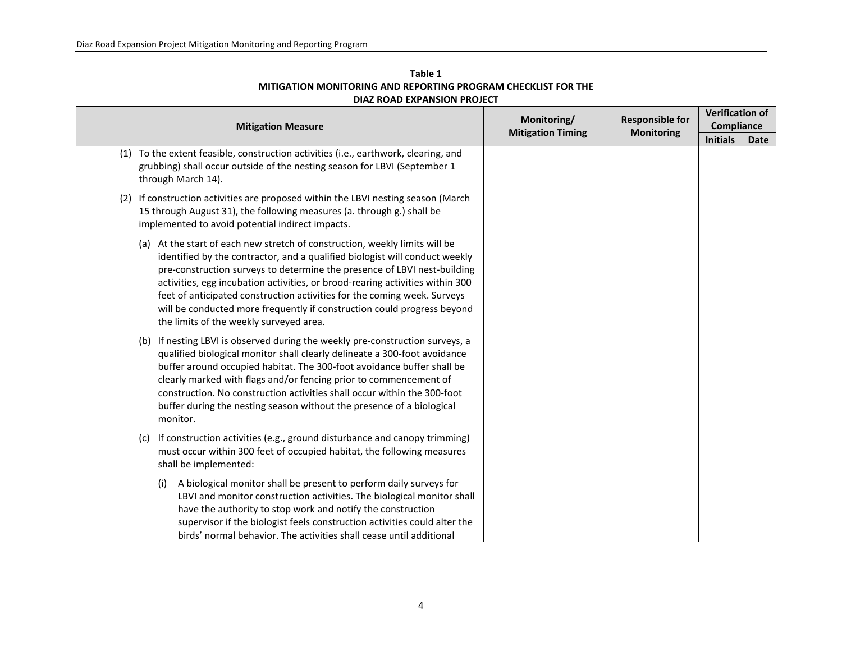| Table 1                                                       |
|---------------------------------------------------------------|
| MITIGATION MONITORING AND REPORTING PROGRAM CHECKLIST FOR THE |
| DIAZ ROAD EXPANSION PROJECT                                   |

| <b>Mitigation Measure</b> |                                                                                                                                                                                                                                                                                                                                                                                                                                                                                                                           | Monitoring/              | <b>Responsible for</b><br><b>Monitoring</b> | <b>Verification of</b><br>Compliance |             |  |
|---------------------------|---------------------------------------------------------------------------------------------------------------------------------------------------------------------------------------------------------------------------------------------------------------------------------------------------------------------------------------------------------------------------------------------------------------------------------------------------------------------------------------------------------------------------|--------------------------|---------------------------------------------|--------------------------------------|-------------|--|
|                           |                                                                                                                                                                                                                                                                                                                                                                                                                                                                                                                           | <b>Mitigation Timing</b> |                                             | <b>Initials</b>                      | <b>Date</b> |  |
|                           | (1) To the extent feasible, construction activities (i.e., earthwork, clearing, and<br>grubbing) shall occur outside of the nesting season for LBVI (September 1<br>through March 14).                                                                                                                                                                                                                                                                                                                                    |                          |                                             |                                      |             |  |
| (2)                       | If construction activities are proposed within the LBVI nesting season (March<br>15 through August 31), the following measures (a. through g.) shall be<br>implemented to avoid potential indirect impacts.                                                                                                                                                                                                                                                                                                               |                          |                                             |                                      |             |  |
|                           | (a) At the start of each new stretch of construction, weekly limits will be<br>identified by the contractor, and a qualified biologist will conduct weekly<br>pre-construction surveys to determine the presence of LBVI nest-building<br>activities, egg incubation activities, or brood-rearing activities within 300<br>feet of anticipated construction activities for the coming week. Surveys<br>will be conducted more frequently if construction could progress beyond<br>the limits of the weekly surveyed area. |                          |                                             |                                      |             |  |
|                           | (b) If nesting LBVI is observed during the weekly pre-construction surveys, a<br>qualified biological monitor shall clearly delineate a 300-foot avoidance<br>buffer around occupied habitat. The 300-foot avoidance buffer shall be<br>clearly marked with flags and/or fencing prior to commencement of<br>construction. No construction activities shall occur within the 300-foot<br>buffer during the nesting season without the presence of a biological<br>monitor.                                                |                          |                                             |                                      |             |  |
|                           | If construction activities (e.g., ground disturbance and canopy trimming)<br>(c)<br>must occur within 300 feet of occupied habitat, the following measures<br>shall be implemented:                                                                                                                                                                                                                                                                                                                                       |                          |                                             |                                      |             |  |
|                           | A biological monitor shall be present to perform daily surveys for<br>(i)<br>LBVI and monitor construction activities. The biological monitor shall<br>have the authority to stop work and notify the construction<br>supervisor if the biologist feels construction activities could alter the<br>birds' normal behavior. The activities shall cease until additional                                                                                                                                                    |                          |                                             |                                      |             |  |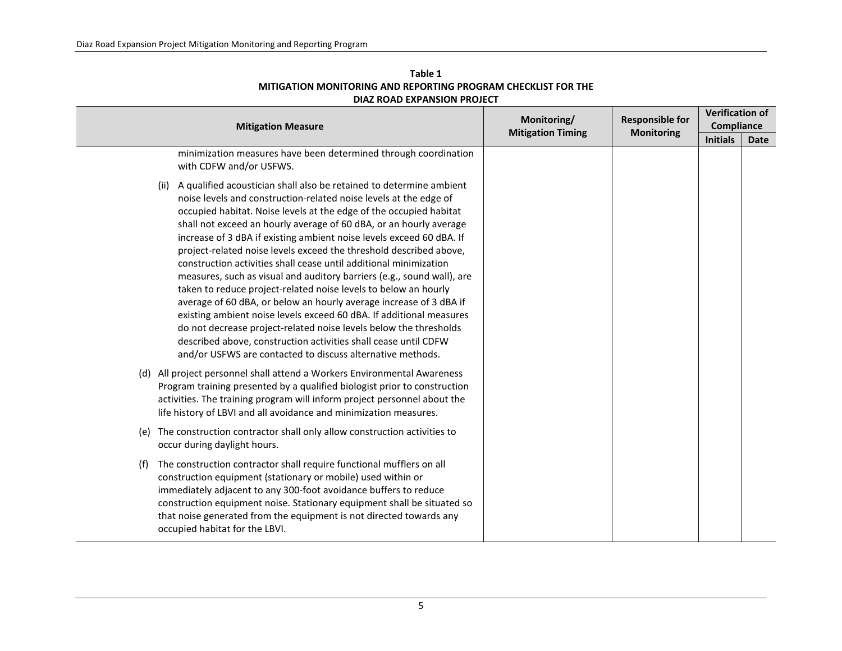| <b>Mitigation Measure</b>                                                                                                                                                                                                                                                                                                                                                                                                                                                                                                                                                                                                                                                                                                                                                                                                                                                                                                                                                                                    | Monitoring/<br><b>Mitigation Timing</b> | <b>Responsible for</b> | <b>Verification of</b><br><b>Compliance</b> |      |
|--------------------------------------------------------------------------------------------------------------------------------------------------------------------------------------------------------------------------------------------------------------------------------------------------------------------------------------------------------------------------------------------------------------------------------------------------------------------------------------------------------------------------------------------------------------------------------------------------------------------------------------------------------------------------------------------------------------------------------------------------------------------------------------------------------------------------------------------------------------------------------------------------------------------------------------------------------------------------------------------------------------|-----------------------------------------|------------------------|---------------------------------------------|------|
|                                                                                                                                                                                                                                                                                                                                                                                                                                                                                                                                                                                                                                                                                                                                                                                                                                                                                                                                                                                                              |                                         | <b>Monitoring</b>      | <b>Initials</b>                             | Date |
| minimization measures have been determined through coordination<br>with CDFW and/or USFWS.                                                                                                                                                                                                                                                                                                                                                                                                                                                                                                                                                                                                                                                                                                                                                                                                                                                                                                                   |                                         |                        |                                             |      |
| (ii) A qualified acoustician shall also be retained to determine ambient<br>noise levels and construction-related noise levels at the edge of<br>occupied habitat. Noise levels at the edge of the occupied habitat<br>shall not exceed an hourly average of 60 dBA, or an hourly average<br>increase of 3 dBA if existing ambient noise levels exceed 60 dBA. If<br>project-related noise levels exceed the threshold described above,<br>construction activities shall cease until additional minimization<br>measures, such as visual and auditory barriers (e.g., sound wall), are<br>taken to reduce project-related noise levels to below an hourly<br>average of 60 dBA, or below an hourly average increase of 3 dBA if<br>existing ambient noise levels exceed 60 dBA. If additional measures<br>do not decrease project-related noise levels below the thresholds<br>described above, construction activities shall cease until CDFW<br>and/or USFWS are contacted to discuss alternative methods. |                                         |                        |                                             |      |
| (d) All project personnel shall attend a Workers Environmental Awareness<br>Program training presented by a qualified biologist prior to construction<br>activities. The training program will inform project personnel about the<br>life history of LBVI and all avoidance and minimization measures.                                                                                                                                                                                                                                                                                                                                                                                                                                                                                                                                                                                                                                                                                                       |                                         |                        |                                             |      |
| (e) The construction contractor shall only allow construction activities to<br>occur during daylight hours.                                                                                                                                                                                                                                                                                                                                                                                                                                                                                                                                                                                                                                                                                                                                                                                                                                                                                                  |                                         |                        |                                             |      |
| The construction contractor shall require functional mufflers on all<br>(f)<br>construction equipment (stationary or mobile) used within or<br>immediately adjacent to any 300-foot avoidance buffers to reduce<br>construction equipment noise. Stationary equipment shall be situated so<br>that noise generated from the equipment is not directed towards any<br>occupied habitat for the LBVI.                                                                                                                                                                                                                                                                                                                                                                                                                                                                                                                                                                                                          |                                         |                        |                                             |      |

## **Table 1 MITIGATION MONITORING AND REPORTING PROGRAM CHECKLIST FOR THE DIAZ ROAD EXPANSION PROJECT**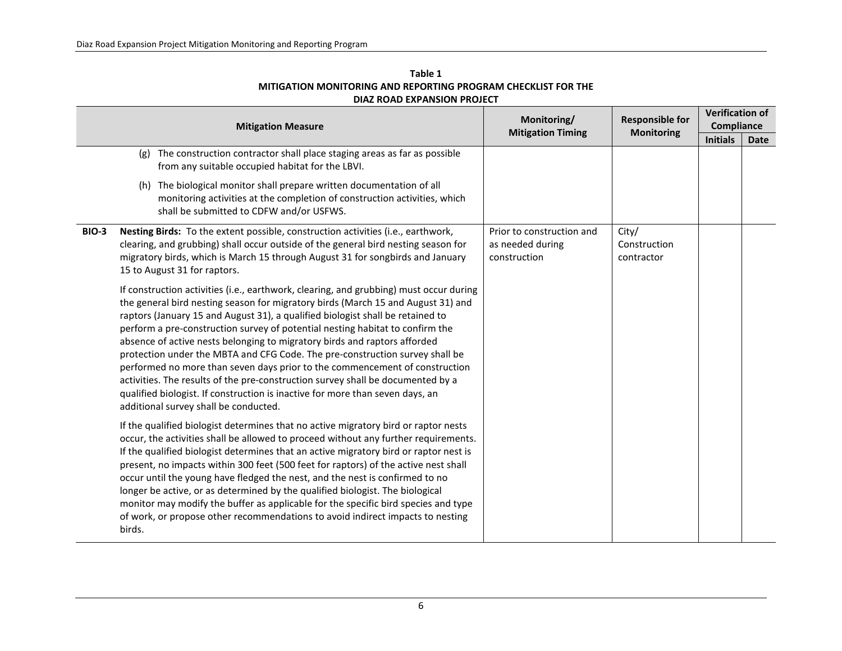| Table 1                                                       |
|---------------------------------------------------------------|
| MITIGATION MONITORING AND REPORTING PROGRAM CHECKLIST FOR THE |
| DIAZ ROAD EXPANSION PROJECT                                   |

|              | <b>Mitigation Measure</b>                                                                                                                                                                                                                                                                                                                                                                                                                                                                                                                                                                                                                                                                                                                                                                              | Monitoring/<br><b>Mitigation Timing</b>                       | <b>Responsible for</b><br><b>Monitoring</b> | <b>Verification of</b><br>Compliance |      |  |
|--------------|--------------------------------------------------------------------------------------------------------------------------------------------------------------------------------------------------------------------------------------------------------------------------------------------------------------------------------------------------------------------------------------------------------------------------------------------------------------------------------------------------------------------------------------------------------------------------------------------------------------------------------------------------------------------------------------------------------------------------------------------------------------------------------------------------------|---------------------------------------------------------------|---------------------------------------------|--------------------------------------|------|--|
|              |                                                                                                                                                                                                                                                                                                                                                                                                                                                                                                                                                                                                                                                                                                                                                                                                        |                                                               |                                             | <b>Initials</b>                      | Date |  |
|              | The construction contractor shall place staging areas as far as possible<br>(g)<br>from any suitable occupied habitat for the LBVI.                                                                                                                                                                                                                                                                                                                                                                                                                                                                                                                                                                                                                                                                    |                                                               |                                             |                                      |      |  |
|              | (h) The biological monitor shall prepare written documentation of all<br>monitoring activities at the completion of construction activities, which<br>shall be submitted to CDFW and/or USFWS.                                                                                                                                                                                                                                                                                                                                                                                                                                                                                                                                                                                                         |                                                               |                                             |                                      |      |  |
| <b>BIO-3</b> | Nesting Birds: To the extent possible, construction activities (i.e., earthwork,<br>clearing, and grubbing) shall occur outside of the general bird nesting season for<br>migratory birds, which is March 15 through August 31 for songbirds and January<br>15 to August 31 for raptors.                                                                                                                                                                                                                                                                                                                                                                                                                                                                                                               | Prior to construction and<br>as needed during<br>construction | City/<br>Construction<br>contractor         |                                      |      |  |
|              | If construction activities (i.e., earthwork, clearing, and grubbing) must occur during<br>the general bird nesting season for migratory birds (March 15 and August 31) and<br>raptors (January 15 and August 31), a qualified biologist shall be retained to<br>perform a pre-construction survey of potential nesting habitat to confirm the<br>absence of active nests belonging to migratory birds and raptors afforded<br>protection under the MBTA and CFG Code. The pre-construction survey shall be<br>performed no more than seven days prior to the commencement of construction<br>activities. The results of the pre-construction survey shall be documented by a<br>qualified biologist. If construction is inactive for more than seven days, an<br>additional survey shall be conducted. |                                                               |                                             |                                      |      |  |
|              | If the qualified biologist determines that no active migratory bird or raptor nests<br>occur, the activities shall be allowed to proceed without any further requirements.<br>If the qualified biologist determines that an active migratory bird or raptor nest is<br>present, no impacts within 300 feet (500 feet for raptors) of the active nest shall<br>occur until the young have fledged the nest, and the nest is confirmed to no<br>longer be active, or as determined by the qualified biologist. The biological<br>monitor may modify the buffer as applicable for the specific bird species and type<br>of work, or propose other recommendations to avoid indirect impacts to nesting<br>birds.                                                                                          |                                                               |                                             |                                      |      |  |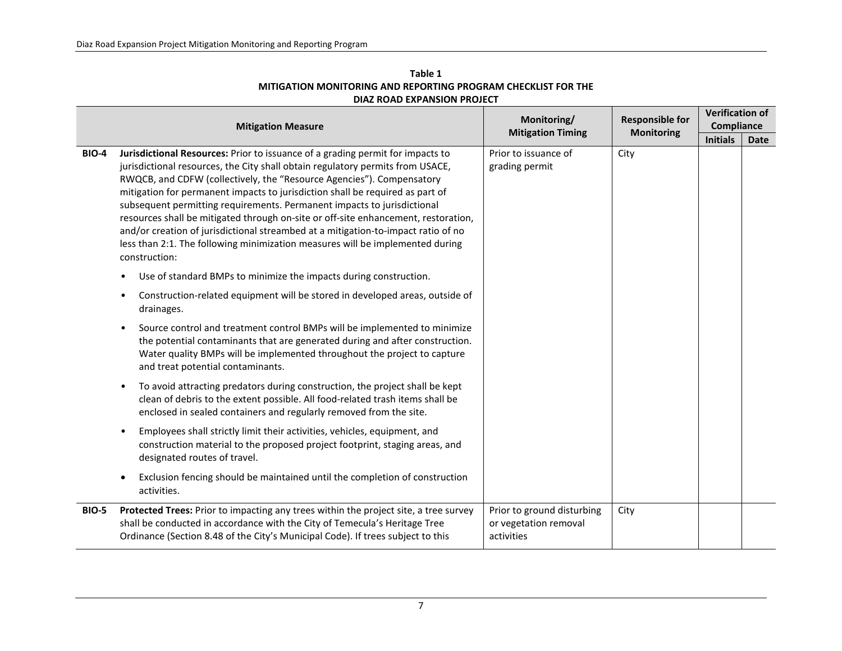| Table 1                                                       |
|---------------------------------------------------------------|
| MITIGATION MONITORING AND REPORTING PROGRAM CHECKLIST FOR THE |
| DIAZ ROAD EXPANSION PROJECT                                   |

|              | <b>Mitigation Measure</b>                                                                                                                                                                                                                                                                                                                                                                                                                                                                                                                                                                                                                                                          | Monitoring/                                                       | <b>Responsible for</b> | <b>Verification of</b><br>Compliance |      |  |
|--------------|------------------------------------------------------------------------------------------------------------------------------------------------------------------------------------------------------------------------------------------------------------------------------------------------------------------------------------------------------------------------------------------------------------------------------------------------------------------------------------------------------------------------------------------------------------------------------------------------------------------------------------------------------------------------------------|-------------------------------------------------------------------|------------------------|--------------------------------------|------|--|
|              |                                                                                                                                                                                                                                                                                                                                                                                                                                                                                                                                                                                                                                                                                    | <b>Mitigation Timing</b>                                          | <b>Monitoring</b>      | <b>Initials</b>                      | Date |  |
| <b>BIO-4</b> | Jurisdictional Resources: Prior to issuance of a grading permit for impacts to<br>jurisdictional resources, the City shall obtain regulatory permits from USACE,<br>RWQCB, and CDFW (collectively, the "Resource Agencies"). Compensatory<br>mitigation for permanent impacts to jurisdiction shall be required as part of<br>subsequent permitting requirements. Permanent impacts to jurisdictional<br>resources shall be mitigated through on-site or off-site enhancement, restoration,<br>and/or creation of jurisdictional streambed at a mitigation-to-impact ratio of no<br>less than 2:1. The following minimization measures will be implemented during<br>construction: | Prior to issuance of<br>grading permit                            | City                   |                                      |      |  |
|              | Use of standard BMPs to minimize the impacts during construction.                                                                                                                                                                                                                                                                                                                                                                                                                                                                                                                                                                                                                  |                                                                   |                        |                                      |      |  |
|              | Construction-related equipment will be stored in developed areas, outside of<br>drainages.                                                                                                                                                                                                                                                                                                                                                                                                                                                                                                                                                                                         |                                                                   |                        |                                      |      |  |
|              | Source control and treatment control BMPs will be implemented to minimize<br>$\bullet$<br>the potential contaminants that are generated during and after construction.<br>Water quality BMPs will be implemented throughout the project to capture<br>and treat potential contaminants.                                                                                                                                                                                                                                                                                                                                                                                            |                                                                   |                        |                                      |      |  |
|              | To avoid attracting predators during construction, the project shall be kept<br>٠<br>clean of debris to the extent possible. All food-related trash items shall be<br>enclosed in sealed containers and regularly removed from the site.                                                                                                                                                                                                                                                                                                                                                                                                                                           |                                                                   |                        |                                      |      |  |
|              | Employees shall strictly limit their activities, vehicles, equipment, and<br>construction material to the proposed project footprint, staging areas, and<br>designated routes of travel.                                                                                                                                                                                                                                                                                                                                                                                                                                                                                           |                                                                   |                        |                                      |      |  |
|              | Exclusion fencing should be maintained until the completion of construction<br>activities.                                                                                                                                                                                                                                                                                                                                                                                                                                                                                                                                                                                         |                                                                   |                        |                                      |      |  |
| <b>BIO-5</b> | Protected Trees: Prior to impacting any trees within the project site, a tree survey<br>shall be conducted in accordance with the City of Temecula's Heritage Tree<br>Ordinance (Section 8.48 of the City's Municipal Code). If trees subject to this                                                                                                                                                                                                                                                                                                                                                                                                                              | Prior to ground disturbing<br>or vegetation removal<br>activities | City                   |                                      |      |  |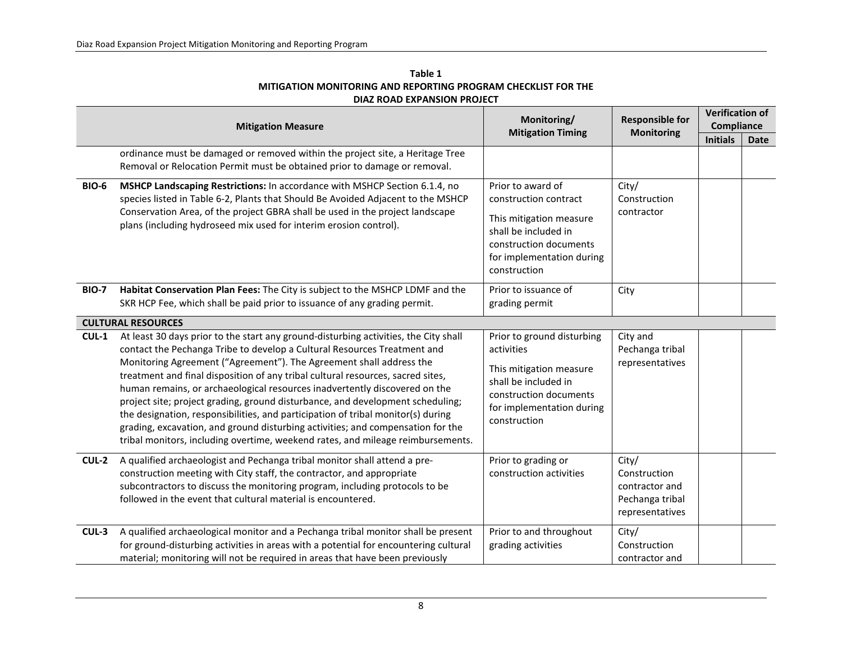|              | <b>DIAZ ROAD EXPANSION PROJECT</b>                                                                                                                                                                                                                                                                                                                                                                                                                                                                                                                                                                                                                                                                                                                                                |                                                                                                                                                                      |                                                                               |                                                         |             |  |
|--------------|-----------------------------------------------------------------------------------------------------------------------------------------------------------------------------------------------------------------------------------------------------------------------------------------------------------------------------------------------------------------------------------------------------------------------------------------------------------------------------------------------------------------------------------------------------------------------------------------------------------------------------------------------------------------------------------------------------------------------------------------------------------------------------------|----------------------------------------------------------------------------------------------------------------------------------------------------------------------|-------------------------------------------------------------------------------|---------------------------------------------------------|-------------|--|
|              | <b>Mitigation Measure</b>                                                                                                                                                                                                                                                                                                                                                                                                                                                                                                                                                                                                                                                                                                                                                         | Monitoring/<br><b>Mitigation Timing</b>                                                                                                                              | <b>Responsible for</b><br><b>Monitoring</b>                                   | <b>Verification of</b><br>Compliance<br><b>Initials</b> |             |  |
|              | ordinance must be damaged or removed within the project site, a Heritage Tree<br>Removal or Relocation Permit must be obtained prior to damage or removal.                                                                                                                                                                                                                                                                                                                                                                                                                                                                                                                                                                                                                        |                                                                                                                                                                      |                                                                               |                                                         | <b>Date</b> |  |
| <b>BIO-6</b> | MSHCP Landscaping Restrictions: In accordance with MSHCP Section 6.1.4, no<br>species listed in Table 6-2, Plants that Should Be Avoided Adjacent to the MSHCP<br>Conservation Area, of the project GBRA shall be used in the project landscape<br>plans (including hydroseed mix used for interim erosion control).                                                                                                                                                                                                                                                                                                                                                                                                                                                              | Prior to award of<br>construction contract<br>This mitigation measure<br>shall be included in<br>construction documents<br>for implementation during<br>construction | City/<br>Construction<br>contractor                                           |                                                         |             |  |
| <b>BIO-7</b> | Habitat Conservation Plan Fees: The City is subject to the MSHCP LDMF and the<br>SKR HCP Fee, which shall be paid prior to issuance of any grading permit.                                                                                                                                                                                                                                                                                                                                                                                                                                                                                                                                                                                                                        | Prior to issuance of<br>grading permit                                                                                                                               | City                                                                          |                                                         |             |  |
| $CUL-1$      | <b>CULTURAL RESOURCES</b><br>At least 30 days prior to the start any ground-disturbing activities, the City shall<br>contact the Pechanga Tribe to develop a Cultural Resources Treatment and<br>Monitoring Agreement ("Agreement"). The Agreement shall address the<br>treatment and final disposition of any tribal cultural resources, sacred sites,<br>human remains, or archaeological resources inadvertently discovered on the<br>project site; project grading, ground disturbance, and development scheduling;<br>the designation, responsibilities, and participation of tribal monitor(s) during<br>grading, excavation, and ground disturbing activities; and compensation for the<br>tribal monitors, including overtime, weekend rates, and mileage reimbursements. | Prior to ground disturbing<br>activities<br>This mitigation measure<br>shall be included in<br>construction documents<br>for implementation during<br>construction   | City and<br>Pechanga tribal<br>representatives                                |                                                         |             |  |
| CUL-2        | A qualified archaeologist and Pechanga tribal monitor shall attend a pre-<br>construction meeting with City staff, the contractor, and appropriate<br>subcontractors to discuss the monitoring program, including protocols to be<br>followed in the event that cultural material is encountered.                                                                                                                                                                                                                                                                                                                                                                                                                                                                                 | Prior to grading or<br>construction activities                                                                                                                       | City/<br>Construction<br>contractor and<br>Pechanga tribal<br>representatives |                                                         |             |  |
| CUL-3        | A qualified archaeological monitor and a Pechanga tribal monitor shall be present<br>for ground-disturbing activities in areas with a potential for encountering cultural<br>material; monitoring will not be required in areas that have been previously                                                                                                                                                                                                                                                                                                                                                                                                                                                                                                                         | Prior to and throughout<br>grading activities                                                                                                                        | City/<br>Construction<br>contractor and                                       |                                                         |             |  |

## **Table 1 MITIGATION MONITORING AND REPORTING PROGRAM CHECKLIST FOR THE**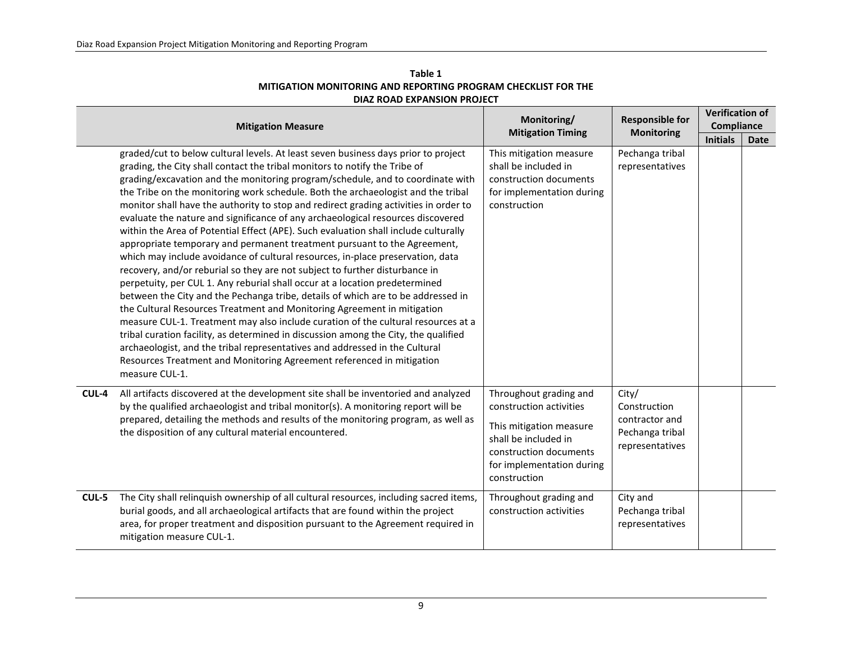| Table 1                                                       |
|---------------------------------------------------------------|
| MITIGATION MONITORING AND REPORTING PROGRAM CHECKLIST FOR THE |
| DIAZ ROAD EXPANSION PROJECT                                   |

|       | <b>Mitigation Measure</b>                                                                                                                                                                                                                                                                                                                                                                                                                                                                                                                                                                                                                                                                                                                                                                                                                                                                                                                                                                                                                                                                                                                                                                                                                                                                                                                                                                                                                                 | Monitoring/<br><b>Responsible for</b>                                                                                                                                       |                                                                               | <b>Verification of</b><br><b>Compliance</b> |             |
|-------|-----------------------------------------------------------------------------------------------------------------------------------------------------------------------------------------------------------------------------------------------------------------------------------------------------------------------------------------------------------------------------------------------------------------------------------------------------------------------------------------------------------------------------------------------------------------------------------------------------------------------------------------------------------------------------------------------------------------------------------------------------------------------------------------------------------------------------------------------------------------------------------------------------------------------------------------------------------------------------------------------------------------------------------------------------------------------------------------------------------------------------------------------------------------------------------------------------------------------------------------------------------------------------------------------------------------------------------------------------------------------------------------------------------------------------------------------------------|-----------------------------------------------------------------------------------------------------------------------------------------------------------------------------|-------------------------------------------------------------------------------|---------------------------------------------|-------------|
|       |                                                                                                                                                                                                                                                                                                                                                                                                                                                                                                                                                                                                                                                                                                                                                                                                                                                                                                                                                                                                                                                                                                                                                                                                                                                                                                                                                                                                                                                           | <b>Mitigation Timing</b>                                                                                                                                                    | <b>Monitoring</b>                                                             | <b>Initials</b>                             | <b>Date</b> |
|       | graded/cut to below cultural levels. At least seven business days prior to project<br>grading, the City shall contact the tribal monitors to notify the Tribe of<br>grading/excavation and the monitoring program/schedule, and to coordinate with<br>the Tribe on the monitoring work schedule. Both the archaeologist and the tribal<br>monitor shall have the authority to stop and redirect grading activities in order to<br>evaluate the nature and significance of any archaeological resources discovered<br>within the Area of Potential Effect (APE). Such evaluation shall include culturally<br>appropriate temporary and permanent treatment pursuant to the Agreement,<br>which may include avoidance of cultural resources, in-place preservation, data<br>recovery, and/or reburial so they are not subject to further disturbance in<br>perpetuity, per CUL 1. Any reburial shall occur at a location predetermined<br>between the City and the Pechanga tribe, details of which are to be addressed in<br>the Cultural Resources Treatment and Monitoring Agreement in mitigation<br>measure CUL-1. Treatment may also include curation of the cultural resources at a<br>tribal curation facility, as determined in discussion among the City, the qualified<br>archaeologist, and the tribal representatives and addressed in the Cultural<br>Resources Treatment and Monitoring Agreement referenced in mitigation<br>measure CUL-1. | This mitigation measure<br>shall be included in<br>construction documents<br>for implementation during<br>construction                                                      | Pechanga tribal<br>representatives                                            |                                             |             |
| CUL-4 | All artifacts discovered at the development site shall be inventoried and analyzed<br>by the qualified archaeologist and tribal monitor(s). A monitoring report will be<br>prepared, detailing the methods and results of the monitoring program, as well as<br>the disposition of any cultural material encountered.                                                                                                                                                                                                                                                                                                                                                                                                                                                                                                                                                                                                                                                                                                                                                                                                                                                                                                                                                                                                                                                                                                                                     | Throughout grading and<br>construction activities<br>This mitigation measure<br>shall be included in<br>construction documents<br>for implementation during<br>construction | City/<br>Construction<br>contractor and<br>Pechanga tribal<br>representatives |                                             |             |
| CUL-5 | The City shall relinquish ownership of all cultural resources, including sacred items,<br>burial goods, and all archaeological artifacts that are found within the project<br>area, for proper treatment and disposition pursuant to the Agreement required in<br>mitigation measure CUL-1.                                                                                                                                                                                                                                                                                                                                                                                                                                                                                                                                                                                                                                                                                                                                                                                                                                                                                                                                                                                                                                                                                                                                                               | Throughout grading and<br>construction activities                                                                                                                           | City and<br>Pechanga tribal<br>representatives                                |                                             |             |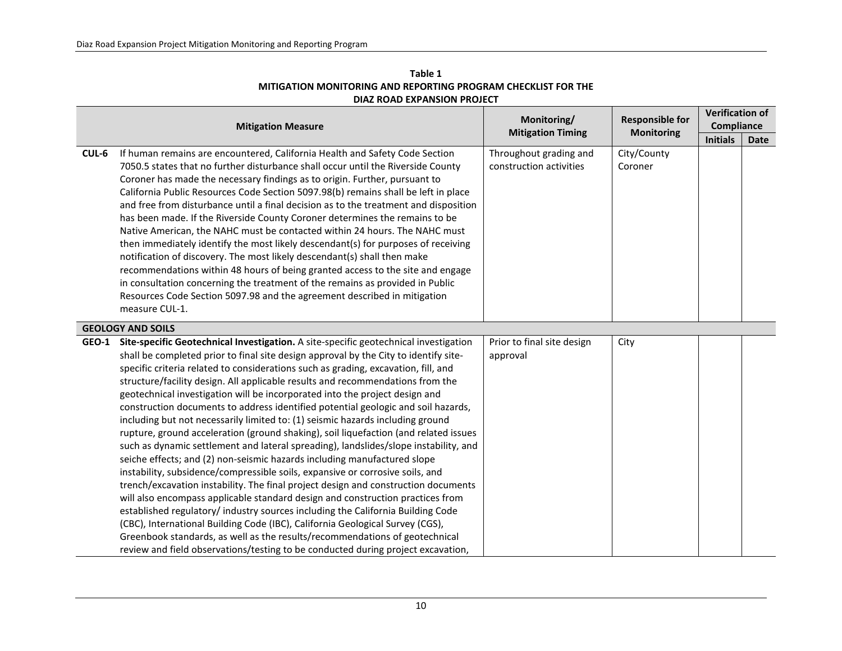| Table 1                                                       |  |  |  |  |  |  |
|---------------------------------------------------------------|--|--|--|--|--|--|
| MITIGATION MONITORING AND REPORTING PROGRAM CHECKLIST FOR THE |  |  |  |  |  |  |
| DIAZ ROAD EXPANSION PROJECT                                   |  |  |  |  |  |  |

|       | Monitoring/                                                                                                                                                                                                                                                                                                                                                                                                                                                                                                                                                                                                                                                                                                                                                                                                                                                                                                                                                                                                                                                                                                                                                                                                                                                                                                                                                                                                                                                                  | <b>Responsible for</b>                            | <b>Verification of</b><br>Compliance |                 |             |
|-------|------------------------------------------------------------------------------------------------------------------------------------------------------------------------------------------------------------------------------------------------------------------------------------------------------------------------------------------------------------------------------------------------------------------------------------------------------------------------------------------------------------------------------------------------------------------------------------------------------------------------------------------------------------------------------------------------------------------------------------------------------------------------------------------------------------------------------------------------------------------------------------------------------------------------------------------------------------------------------------------------------------------------------------------------------------------------------------------------------------------------------------------------------------------------------------------------------------------------------------------------------------------------------------------------------------------------------------------------------------------------------------------------------------------------------------------------------------------------------|---------------------------------------------------|--------------------------------------|-----------------|-------------|
|       | <b>Mitigation Measure</b>                                                                                                                                                                                                                                                                                                                                                                                                                                                                                                                                                                                                                                                                                                                                                                                                                                                                                                                                                                                                                                                                                                                                                                                                                                                                                                                                                                                                                                                    | <b>Mitigation Timing</b>                          | <b>Monitoring</b>                    | <b>Initials</b> | <b>Date</b> |
| CUL-6 | If human remains are encountered, California Health and Safety Code Section<br>7050.5 states that no further disturbance shall occur until the Riverside County<br>Coroner has made the necessary findings as to origin. Further, pursuant to<br>California Public Resources Code Section 5097.98(b) remains shall be left in place<br>and free from disturbance until a final decision as to the treatment and disposition<br>has been made. If the Riverside County Coroner determines the remains to be<br>Native American, the NAHC must be contacted within 24 hours. The NAHC must<br>then immediately identify the most likely descendant(s) for purposes of receiving<br>notification of discovery. The most likely descendant(s) shall then make<br>recommendations within 48 hours of being granted access to the site and engage<br>in consultation concerning the treatment of the remains as provided in Public<br>Resources Code Section 5097.98 and the agreement described in mitigation<br>measure CUL-1.                                                                                                                                                                                                                                                                                                                                                                                                                                                   | Throughout grading and<br>construction activities | City/County<br>Coroner               |                 |             |
|       | <b>GEOLOGY AND SOILS</b>                                                                                                                                                                                                                                                                                                                                                                                                                                                                                                                                                                                                                                                                                                                                                                                                                                                                                                                                                                                                                                                                                                                                                                                                                                                                                                                                                                                                                                                     |                                                   |                                      |                 |             |
|       | GEO-1 Site-specific Geotechnical Investigation. A site-specific geotechnical investigation<br>shall be completed prior to final site design approval by the City to identify site-<br>specific criteria related to considerations such as grading, excavation, fill, and<br>structure/facility design. All applicable results and recommendations from the<br>geotechnical investigation will be incorporated into the project design and<br>construction documents to address identified potential geologic and soil hazards,<br>including but not necessarily limited to: (1) seismic hazards including ground<br>rupture, ground acceleration (ground shaking), soil liquefaction (and related issues<br>such as dynamic settlement and lateral spreading), landslides/slope instability, and<br>seiche effects; and (2) non-seismic hazards including manufactured slope<br>instability, subsidence/compressible soils, expansive or corrosive soils, and<br>trench/excavation instability. The final project design and construction documents<br>will also encompass applicable standard design and construction practices from<br>established regulatory/ industry sources including the California Building Code<br>(CBC), International Building Code (IBC), California Geological Survey (CGS),<br>Greenbook standards, as well as the results/recommendations of geotechnical<br>review and field observations/testing to be conducted during project excavation, | Prior to final site design<br>approval            | City                                 |                 |             |